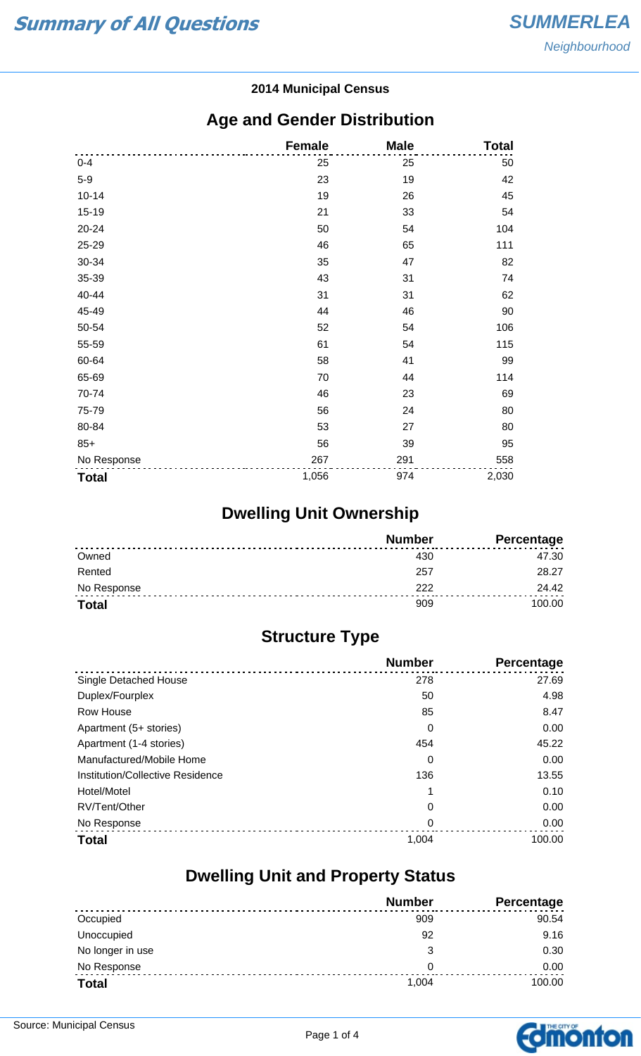#### **2014 Municipal Census**

#### **Age and Gender Distribution**

|              | <b>Female</b> | <b>Male</b> | <b>Total</b> |
|--------------|---------------|-------------|--------------|
| $0 - 4$      | 25            | 25          | 50           |
| $5-9$        | 23            | 19          | 42           |
| $10 - 14$    | 19            | 26          | 45           |
| 15-19        | 21            | 33          | 54           |
| 20-24        | 50            | 54          | 104          |
| 25-29        | 46            | 65          | 111          |
| 30-34        | 35            | 47          | 82           |
| 35-39        | 43            | 31          | 74           |
| 40-44        | 31            | 31          | 62           |
| 45-49        | 44            | 46          | 90           |
| 50-54        | 52            | 54          | 106          |
| 55-59        | 61            | 54          | 115          |
| 60-64        | 58            | 41          | 99           |
| 65-69        | 70            | 44          | 114          |
| 70-74        | 46            | 23          | 69           |
| 75-79        | 56            | 24          | 80           |
| 80-84        | 53            | 27          | 80           |
| $85+$        | 56            | 39          | 95           |
| No Response  | 267           | 291         | 558          |
| <b>Total</b> | 1,056         | 974         | 2,030        |

## **Dwelling Unit Ownership**

|              | <b>Number</b> | Percentage |
|--------------|---------------|------------|
| Owned        |               | 47.30      |
| Rented       | 257           | 28.27      |
| No Response  | つつつ           | 24.42      |
| <b>Total</b> | 909           | 100.00     |

## **Structure Type**

|                                  | <b>Number</b> | Percentage |
|----------------------------------|---------------|------------|
| Single Detached House            | 278           | 27.69      |
| Duplex/Fourplex                  | 50            | 4.98       |
| Row House                        | 85            | 8.47       |
| Apartment (5+ stories)           | 0             | 0.00       |
| Apartment (1-4 stories)          | 454           | 45.22      |
| Manufactured/Mobile Home         | 0             | 0.00       |
| Institution/Collective Residence | 136           | 13.55      |
| Hotel/Motel                      |               | 0.10       |
| RV/Tent/Other                    | 0             | 0.00       |
| No Response                      | 0             | 0.00       |
| <b>Total</b>                     | 1,004         | 100.00     |

#### **Dwelling Unit and Property Status**

|                  | <b>Number</b> | <b>Percentage</b> |
|------------------|---------------|-------------------|
| Occupied         | 909           | 90.54             |
| Unoccupied       | 92            | 9.16              |
| No longer in use | 3             | 0.30              |
| No Response      | 0             | 0.00              |
| <b>Total</b>     | 1,004         | 100.00            |

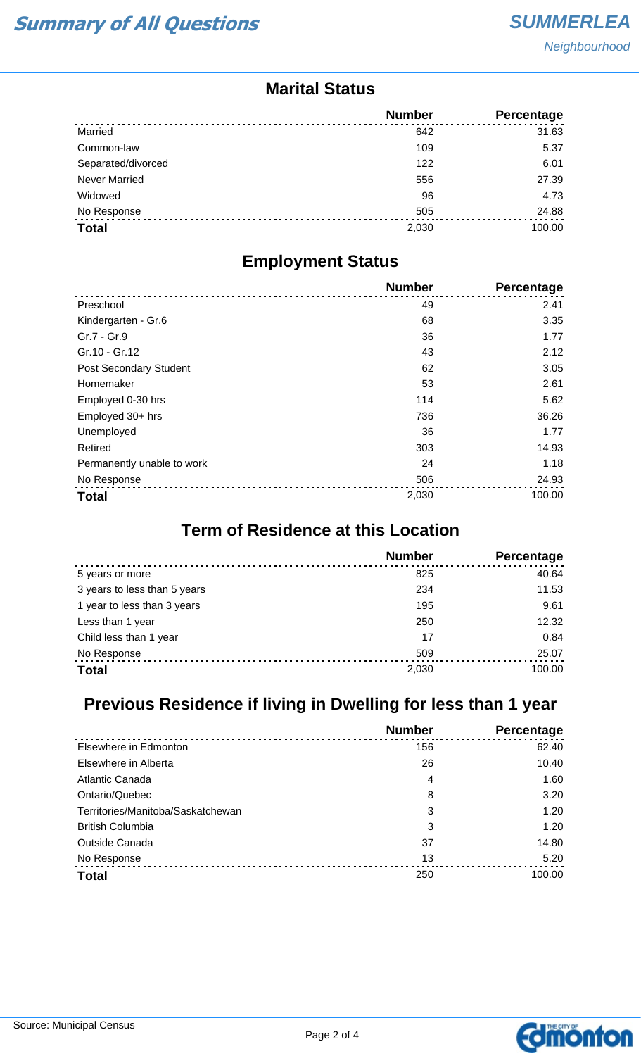#### **Marital Status**

|                      | <b>Number</b> | <b>Percentage</b> |
|----------------------|---------------|-------------------|
| Married              | 642           | 31.63             |
| Common-law           | 109           | 5.37              |
| Separated/divorced   | 122           | 6.01              |
| <b>Never Married</b> | 556           | 27.39             |
| Widowed              | 96            | 4.73              |
| No Response          | 505           | 24.88             |
| <b>Total</b>         | 2,030         | 100.00            |

#### **Employment Status**

|                               | <b>Number</b> | Percentage |
|-------------------------------|---------------|------------|
| Preschool                     | 49            | 2.41       |
| Kindergarten - Gr.6           | 68            | 3.35       |
| Gr.7 - Gr.9                   | 36            | 1.77       |
| Gr.10 - Gr.12                 | 43            | 2.12       |
| <b>Post Secondary Student</b> | 62            | 3.05       |
| Homemaker                     | 53            | 2.61       |
| Employed 0-30 hrs             | 114           | 5.62       |
| Employed 30+ hrs              | 736           | 36.26      |
| Unemployed                    | 36            | 1.77       |
| Retired                       | 303           | 14.93      |
| Permanently unable to work    | 24            | 1.18       |
| No Response                   | 506           | 24.93      |
| <b>Total</b>                  | 2,030         | 100.00     |

### **Term of Residence at this Location**

|                              | <b>Number</b> | Percentage |
|------------------------------|---------------|------------|
| 5 years or more              | 825           | 40.64      |
| 3 years to less than 5 years | 234           | 11.53      |
| 1 year to less than 3 years  | 195           | 9.61       |
| Less than 1 year             | 250           | 12.32      |
| Child less than 1 year       | 17            | 0.84       |
| No Response                  | 509           | 25.07      |
| <b>Total</b>                 | 2,030         | 100.00     |

## **Previous Residence if living in Dwelling for less than 1 year**

|                                   | <b>Number</b> | Percentage |
|-----------------------------------|---------------|------------|
| Elsewhere in Edmonton             | 156           | 62.40      |
| Elsewhere in Alberta              | 26            | 10.40      |
| Atlantic Canada                   | 4             | 1.60       |
| Ontario/Quebec                    | 8             | 3.20       |
| Territories/Manitoba/Saskatchewan | 3             | 1.20       |
| <b>British Columbia</b>           | 3             | 1.20       |
| <b>Outside Canada</b>             | 37            | 14.80      |
| No Response                       | 13            | 5.20       |
| <b>Total</b>                      | 250           | 100.00     |

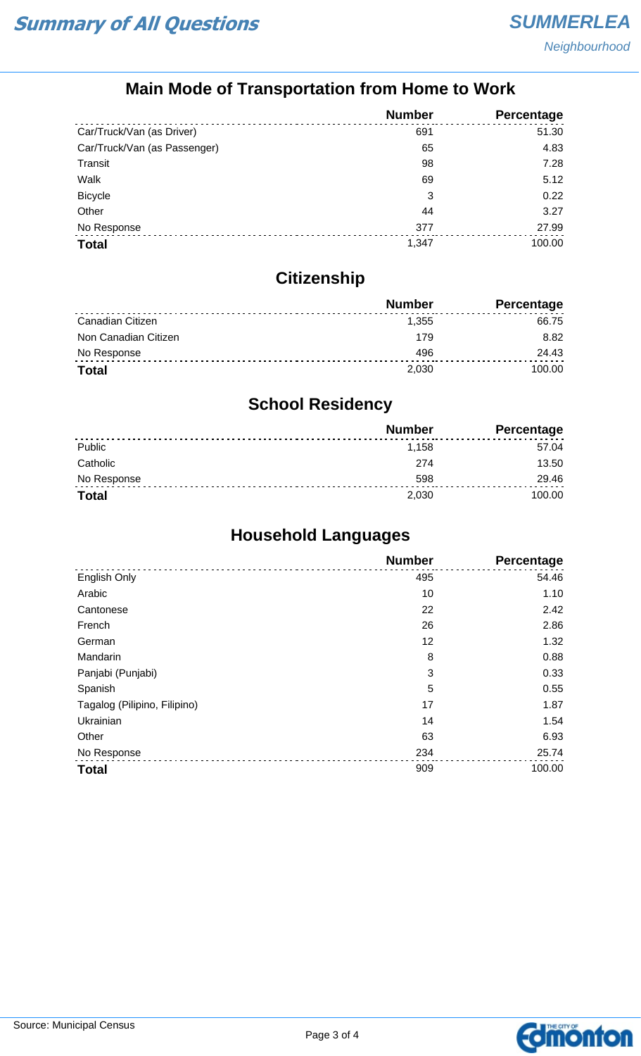## **Main Mode of Transportation from Home to Work**

|                              | <b>Number</b> | Percentage |
|------------------------------|---------------|------------|
| Car/Truck/Van (as Driver)    | 691           | 51.30      |
| Car/Truck/Van (as Passenger) | 65            | 4.83       |
| Transit                      | 98            | 7.28       |
| Walk                         | 69            | 5.12       |
| <b>Bicycle</b>               | 3             | 0.22       |
| Other                        | 44            | 3.27       |
| No Response                  | 377           | 27.99      |
| <b>Total</b>                 | 1,347         | 100.00     |

## **Citizenship**

|                      | <b>Number</b> | Percentage |
|----------------------|---------------|------------|
| Canadian Citizen     | 1.355         | 66.75      |
| Non Canadian Citizen | 179           | 8.82       |
| No Response          | 496           | 24.43      |
| <b>Total</b>         | 2.030         | 100.00     |

## **School Residency**

|              | <b>Number</b> | <b>Percentage</b> |
|--------------|---------------|-------------------|
| Public       | 1,158         | 57.04             |
| Catholic     | 274           | 13.50             |
| No Response  | 598           | 29.46             |
| <b>Total</b> | 2,030         | 100.00            |

## **Household Languages**

|                              | <b>Number</b> | <b>Percentage</b> |
|------------------------------|---------------|-------------------|
| English Only                 | 495           | 54.46             |
| Arabic                       | 10            | 1.10              |
| Cantonese                    | 22            | 2.42              |
| French                       | 26            | 2.86              |
| German                       | 12            | 1.32              |
| Mandarin                     | 8             | 0.88              |
| Panjabi (Punjabi)            | 3             | 0.33              |
| Spanish                      | 5             | 0.55              |
| Tagalog (Pilipino, Filipino) | 17            | 1.87              |
| Ukrainian                    | 14            | 1.54              |
| Other                        | 63            | 6.93              |
| No Response                  | 234           | 25.74             |
| <b>Total</b>                 | 909           | 100.00            |